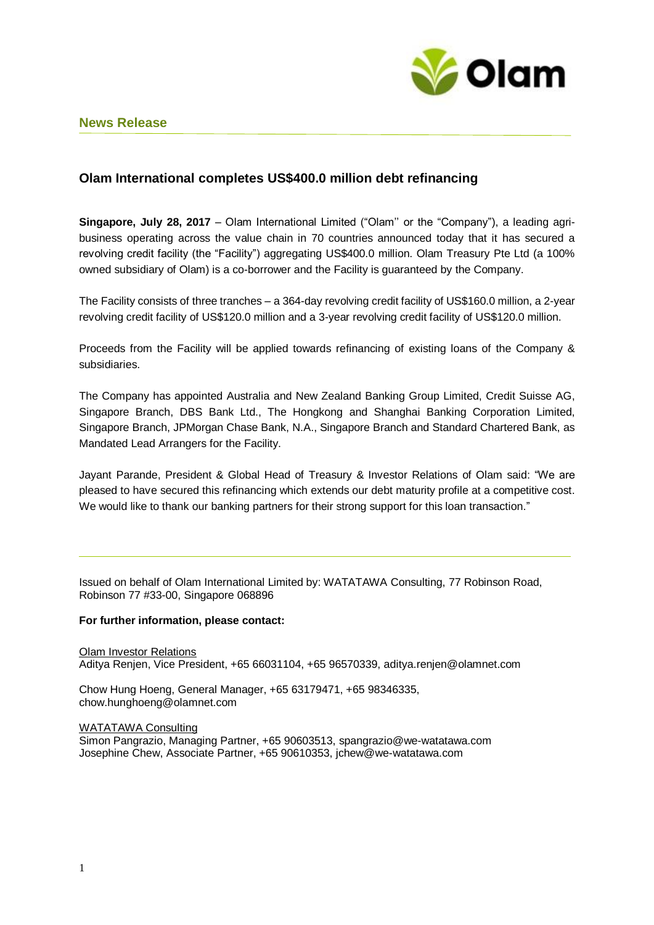

## **News Release**

# **Olam International completes US\$400.0 million debt refinancing**

**Singapore, July 28, 2017** – Olam International Limited ("Olam'' or the "Company"), a leading agribusiness operating across the value chain in 70 countries announced today that it has secured a revolving credit facility (the "Facility") aggregating US\$400.0 million. Olam Treasury Pte Ltd (a 100% owned subsidiary of Olam) is a co-borrower and the Facility is guaranteed by the Company.

The Facility consists of three tranches – a 364-day revolving credit facility of US\$160.0 million, a 2-year revolving credit facility of US\$120.0 million and a 3-year revolving credit facility of US\$120.0 million.

Proceeds from the Facility will be applied towards refinancing of existing loans of the Company & subsidiaries.

The Company has appointed Australia and New Zealand Banking Group Limited, Credit Suisse AG, Singapore Branch, DBS Bank Ltd., The Hongkong and Shanghai Banking Corporation Limited, Singapore Branch, JPMorgan Chase Bank, N.A., Singapore Branch and Standard Chartered Bank, as Mandated Lead Arrangers for the Facility.

Jayant Parande, President & Global Head of Treasury & Investor Relations of Olam said: "We are pleased to have secured this refinancing which extends our debt maturity profile at a competitive cost. We would like to thank our banking partners for their strong support for this loan transaction."

Issued on behalf of Olam International Limited by: WATATAWA Consulting, 77 Robinson Road, Robinson 77 #33-00, Singapore 068896

#### **For further information, please contact:**

Olam Investor Relations Aditya Renjen, Vice President, +65 66031104, +65 96570339, aditya.renjen@olamnet.com

Chow Hung Hoeng, General Manager, +65 63179471, +65 98346335, chow.hunghoeng@olamnet.com

WATATAWA Consulting

Simon Pangrazio, Managing Partner, +65 90603513, spangrazio@we-watatawa.com Josephine Chew, Associate Partner, +65 90610353, jchew@we-watatawa.com